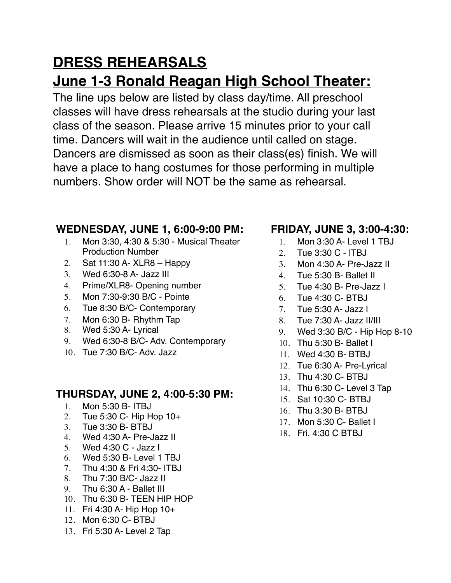# **DRESS REHEARSALS June 1-3 Ronald Reagan High School Theater:**

The line ups below are listed by class day/time. All preschool classes will have dress rehearsals at the studio during your last class of the season. Please arrive 15 minutes prior to your call time. Dancers will wait in the audience until called on stage. Dancers are dismissed as soon as their class(es) finish. We will have a place to hang costumes for those performing in multiple numbers. Show order will NOT be the same as rehearsal.

#### **WEDNESDAY, JUNE 1, 6:00-9:00 PM:**

- 1. Mon 3:30, 4:30 & 5:30 Musical Theater Production Number
- 2. Sat 11:30 A- XLR8 Happy
- 3. Wed 6:30-8 A- Jazz III
- 4. Prime/XLR8- Opening number
- 5. Mon 7:30-9:30 B/C Pointe
- 6. Tue 8:30 B/C- Contemporary
- 7. Mon 6:30 B- Rhythm Tap
- 8. Wed 5:30 A- Lyrical
- 9. Wed 6:30-8 B/C- Adv. Contemporary
- 10. Tue 7:30 B/C- Adv. Jazz

### **THURSDAY, JUNE 2, 4:00-5:30 PM:**

- 1. Mon 5:30 B- ITBJ
- 2. Tue 5:30 C- Hip Hop 10+
- 3. Tue 3:30 B- BTBJ
- 4. Wed 4:30 A- Pre-Jazz II
- 5. Wed 4:30 C Jazz I
- 6. Wed 5:30 B- Level 1 TBJ
- 7. Thu 4:30 & Fri 4:30- ITBJ
- 8. Thu 7:30 B/C- Jazz II
- 9. Thu 6:30 A Ballet III
- 10. Thu 6:30 B- TEEN HIP HOP
- 11. Fri 4:30 A- Hip Hop 10+
- 12. Mon 6:30 C- BTBJ
- 13. Fri 5:30 A- Level 2 Tap

### **FRIDAY, JUNE 3, 3:00-4:30:**

- 1. Mon 3:30 A- Level 1 TBJ
- 2. Tue 3:30 C ITBJ
- 3. Mon 4:30 A- Pre-Jazz II
- 4. Tue 5:30 B- Ballet II
- 5. Tue 4:30 B- Pre-Jazz I
- 6. Tue 4:30 C- BTBJ
- 7. Tue 5:30 A- Jazz I
- 8. Tue 7:30 A- Jazz II/III
- 9. Wed 3:30 B/C Hip Hop 8-10
- 10. Thu 5:30 B- Ballet I
- 11. Wed 4:30 B- BTBJ
- 12. Tue 6:30 A- Pre-Lyrical
- 13. Thu 4:30 C- BTBJ
- 14. Thu 6:30 C- Level 3 Tap
- 15. Sat 10:30 C- BTBJ
- 16. Thu 3:30 B- BTBJ
- 17. Mon 5:30 C- Ballet I
- 18. Fri. 4:30 C BTBJ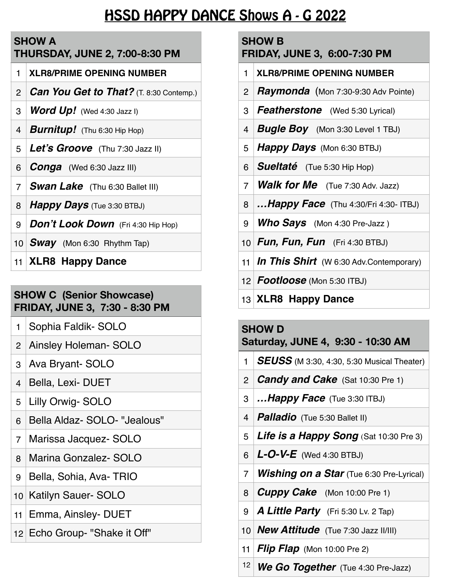# HSSD HAPPY DANCE Shows A - G 2022

| <b>SHOW A</b><br><b>THURSDAY, JUNE 2, 7:00-8:30 PM</b> |                                                  |
|--------------------------------------------------------|--------------------------------------------------|
| 1                                                      | <b>XLR8/PRIME OPENING NUMBER</b>                 |
|                                                        | 2   Can You Get to That? (T. 8:30 Contemp.)      |
| 3 <sup>1</sup>                                         | <b>Word Up!</b> (Wed 4:30 Jazz I)                |
|                                                        | 4   <b>Burnitup!</b> (Thu 6:30 Hip Hop)          |
|                                                        | 5   Let's Groove (Thu 7:30 Jazz II)              |
|                                                        | 6 $\mathcal{C}$ <i>Conga</i> (Wed 6:30 Jazz III) |
|                                                        | 7   <b>Swan Lake</b> (Thu 6:30 Ballet III)       |
| 8 <sup>1</sup>                                         | <b>Happy Days</b> (Tue 3:30 BTBJ)                |
| 9                                                      | <b>Don't Look Down</b> (Fri 4:30 Hip Hop)        |
|                                                        | 10 <b>Sway</b> (Mon 6:30 Rhythm Tap)             |
|                                                        | 11 XLR8 Happy Dance                              |

### <sup>13</sup> **XLR8 Happy Dance SHOW C (Senior Showcase) FRIDAY, JUNE 3, 7:30 - 8:30 PM**

- Sophia Faldik- SOLO
- Ainsley Holeman- SOLO
- Ava Bryant- SOLO
- 4 | Bella, Lexi- DUET
- Lilly Orwig- SOLO
- Bella Aldaz- SOLO- "Jealous"
- Marissa Jacquez- SOLO
- Marina Gonzalez- SOLO
- 9 Bella, Sohia, Ava-TRIO
- Katilyn Sauer- SOLO
- Emma, Ainsley- DUET
- Echo Group- "Shake it Off"

#### **SHOW B**

**FRIDAY, JUNE 3, 6:00-7:30 PM** 

- **XLR8/PRIME OPENING NUMBER**
- *Raymonda* (Mon 7:30-9:30 Adv Pointe)
- *Featherstone* (Wed 5:30 Lyrical)
- *Bugle Boy* (Mon 3:30 Level 1 TBJ)
- *Happy Days* (Mon 6:30 BTBJ)
- *Sueltaté* (Tue 5:30 Hip Hop)
- *Walk for Me* (Tue 7:30 Adv. Jazz)
- *…Happy Face* (Thu 4:30/Fri 4:30- ITBJ)
- *Who Says* (Mon 4:30 Pre-Jazz )
- *Fun, Fun, Fun* (Fri 4:30 BTBJ)
- *In This Shirt* (W 6:30 Adv.Contemporary)
- *Footloose* (Mon 5:30 ITBJ)
- 

#### **SHOW D**

**Saturday, JUNE 4, 9:30 - 10:30 AM** 

- *SEUSS* (M 3:30, 4:30, 5:30 Musical Theater)
- *Candy and Cake* (Sat 10:30 Pre 1)
- *…Happy Face* (Tue 3:30 ITBJ)
- *Palladio* (Tue 5:30 Ballet II)
- *Life is a Happy Song* (Sat 10:30 Pre 3)
- $6 \mid$  *L-O-V-E* (Wed 4:30 BTBJ)
- *Wishing on a Star* (Tue 6:30 Pre-Lyrical)
- *Cuppy Cake* (Mon 10:00 Pre 1)
- *A Little Party* (Fri 5:30 Lv. 2 Tap)
- *New Attitude* (Tue 7:30 Jazz II/III)
- *Flip Flap* (Mon 10:00 Pre 2)
- *We Go Together* (Tue 4:30 Pre-Jazz)